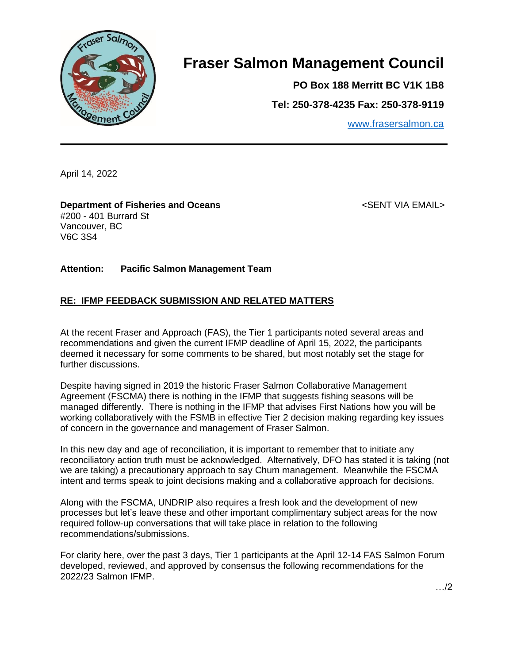

# **Fraser Salmon Management Council**

**PO Box 188 Merritt BC V1K 1B8**

**Tel: 250-378-4235 Fax: 250-378-9119**

[www.frasersalmon.ca](http://www.frasersalmon.ca/)

April 14, 2022

**Department of Fisheries and Oceans** and the state of the second section of the SENT VIA EMAIL> #200 - 401 Burrard St Vancouver, BC V6C 3S4

## **Attention: Pacific Salmon Management Team**

## **RE: IFMP FEEDBACK SUBMISSION AND RELATED MATTERS**

At the recent Fraser and Approach (FAS), the Tier 1 participants noted several areas and recommendations and given the current IFMP deadline of April 15, 2022, the participants deemed it necessary for some comments to be shared, but most notably set the stage for further discussions.

Despite having signed in 2019 the historic Fraser Salmon Collaborative Management Agreement (FSCMA) there is nothing in the IFMP that suggests fishing seasons will be managed differently. There is nothing in the IFMP that advises First Nations how you will be working collaboratively with the FSMB in effective Tier 2 decision making regarding key issues of concern in the governance and management of Fraser Salmon.

In this new day and age of reconciliation, it is important to remember that to initiate any reconciliatory action truth must be acknowledged. Alternatively, DFO has stated it is taking (not we are taking) a precautionary approach to say Chum management. Meanwhile the FSCMA intent and terms speak to joint decisions making and a collaborative approach for decisions.

Along with the FSCMA, UNDRIP also requires a fresh look and the development of new processes but let's leave these and other important complimentary subject areas for the now required follow-up conversations that will take place in relation to the following recommendations/submissions.

For clarity here, over the past 3 days, Tier 1 participants at the April 12-14 FAS Salmon Forum developed, reviewed, and approved by consensus the following recommendations for the 2022/23 Salmon IFMP.

…/2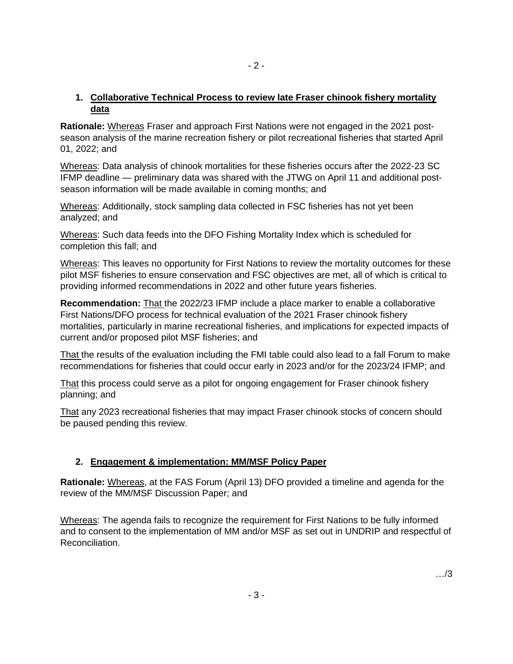# **1. Collaborative Technical Process to review late Fraser chinook fishery mortality data**

- 2 -

**Rationale:** Whereas Fraser and approach First Nations were not engaged in the 2021 postseason analysis of the marine recreation fishery or pilot recreational fisheries that started April 01, 2022; and

Whereas: Data analysis of chinook mortalities for these fisheries occurs after the 2022-23 SC IFMP deadline — preliminary data was shared with the JTWG on April 11 and additional postseason information will be made available in coming months; and

Whereas: Additionally, stock sampling data collected in FSC fisheries has not yet been analyzed; and

Whereas: Such data feeds into the DFO Fishing Mortality Index which is scheduled for completion this fall; and

Whereas: This leaves no opportunity for First Nations to review the mortality outcomes for these pilot MSF fisheries to ensure conservation and FSC objectives are met, all of which is critical to providing informed recommendations in 2022 and other future years fisheries.

**Recommendation:** That the 2022/23 IFMP include a place marker to enable a collaborative First Nations/DFO process for technical evaluation of the 2021 Fraser chinook fishery mortalities, particularly in marine recreational fisheries, and implications for expected impacts of current and/or proposed pilot MSF fisheries; and

That the results of the evaluation including the FMI table could also lead to a fall Forum to make recommendations for fisheries that could occur early in 2023 and/or for the 2023/24 IFMP; and

That this process could serve as a pilot for ongoing engagement for Fraser chinook fishery planning; and

That any 2023 recreational fisheries that may impact Fraser chinook stocks of concern should be paused pending this review.

# **2. Engagement & implementation: MM/MSF Policy Paper**

**Rationale:** Whereas, at the FAS Forum (April 13) DFO provided a timeline and agenda for the review of the MM/MSF Discussion Paper; and

Whereas: The agenda fails to recognize the requirement for First Nations to be fully informed and to consent to the implementation of MM and/or MSF as set out in UNDRIP and respectful of Reconciliation.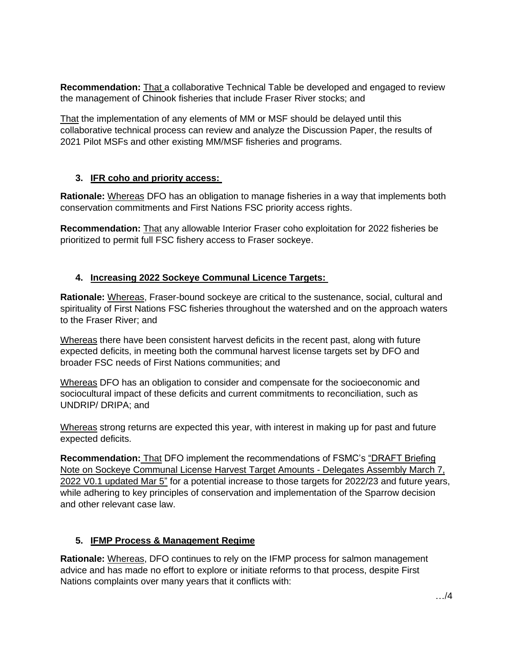**Recommendation:** That a collaborative Technical Table be developed and engaged to review the management of Chinook fisheries that include Fraser River stocks; and

That the implementation of any elements of MM or MSF should be delayed until this collaborative technical process can review and analyze the Discussion Paper, the results of 2021 Pilot MSFs and other existing MM/MSF fisheries and programs.

## **3. IFR coho and priority access:**

**Rationale:** Whereas DFO has an obligation to manage fisheries in a way that implements both conservation commitments and First Nations FSC priority access rights.

**Recommendation:** That any allowable Interior Fraser coho exploitation for 2022 fisheries be prioritized to permit full FSC fishery access to Fraser sockeye.

# **4. Increasing 2022 Sockeye Communal Licence Targets:**

**Rationale:** Whereas, Fraser-bound sockeye are critical to the sustenance, social, cultural and spirituality of First Nations FSC fisheries throughout the watershed and on the approach waters to the Fraser River; and

Whereas there have been consistent harvest deficits in the recent past, along with future expected deficits, in meeting both the communal harvest license targets set by DFO and broader FSC needs of First Nations communities; and

Whereas DFO has an obligation to consider and compensate for the socioeconomic and sociocultural impact of these deficits and current commitments to reconciliation, such as UNDRIP/ DRIPA; and

Whereas strong returns are expected this year, with interest in making up for past and future expected deficits.

**Recommendation:** That DFO implement the recommendations of FSMC's "DRAFT Briefing Note on Sockeye Communal License Harvest Target Amounts - Delegates Assembly March 7, 2022 V0.1 updated Mar 5" for a potential increase to those targets for 2022/23 and future years, while adhering to key principles of conservation and implementation of the Sparrow decision and other relevant case law.

# **5. IFMP Process & Management Regime**

**Rationale:** Whereas, DFO continues to rely on the IFMP process for salmon management advice and has made no effort to explore or initiate reforms to that process, despite First Nations complaints over many years that it conflicts with: